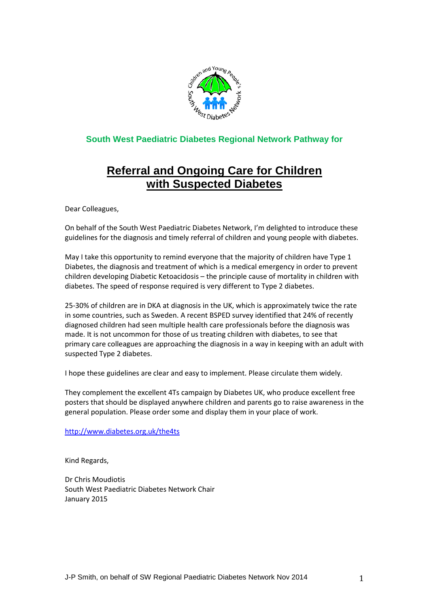

# **South West Paediatric Diabetes Regional Network Pathway for**

# **Referral and Ongoing Care for Children with Suspected Diabetes**

Dear Colleagues,

On behalf of the South West Paediatric Diabetes Network, I'm delighted to introduce these guidelines for the diagnosis and timely referral of children and young people with diabetes.

May I take this opportunity to remind everyone that the majority of children have Type 1 Diabetes, the diagnosis and treatment of which is a medical emergency in order to prevent children developing Diabetic Ketoacidosis – the principle cause of mortality in children with diabetes. The speed of response required is very different to Type 2 diabetes.

25-30% of children are in DKA at diagnosis in the UK, which is approximately twice the rate in some countries, such as Sweden. A recent BSPED survey identified that 24% of recently diagnosed children had seen multiple health care professionals before the diagnosis was made. It is not uncommon for those of us treating children with diabetes, to see that primary care colleagues are approaching the diagnosis in a way in keeping with an adult with suspected Type 2 diabetes.

I hope these guidelines are clear and easy to implement. Please circulate them widely.

They complement the excellent 4Ts campaign by Diabetes UK, who produce excellent free posters that should be displayed anywhere children and parents go to raise awareness in the general population. Please order some and display them in your place of work.

<http://www.diabetes.org.uk/the4ts>

Kind Regards,

Dr Chris Moudiotis South West Paediatric Diabetes Network Chair January 2015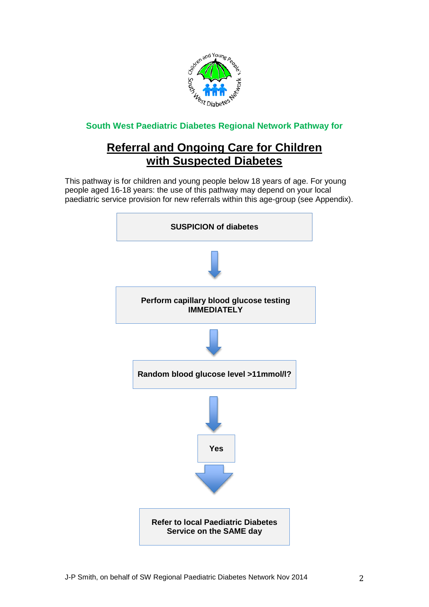

**South West Paediatric Diabetes Regional Network Pathway for**

# **Referral and Ongoing Care for Children with Suspected Diabetes**

This pathway is for children and young people below 18 years of age. For young people aged 16-18 years: the use of this pathway may depend on your local paediatric service provision for new referrals within this age-group (see Appendix).

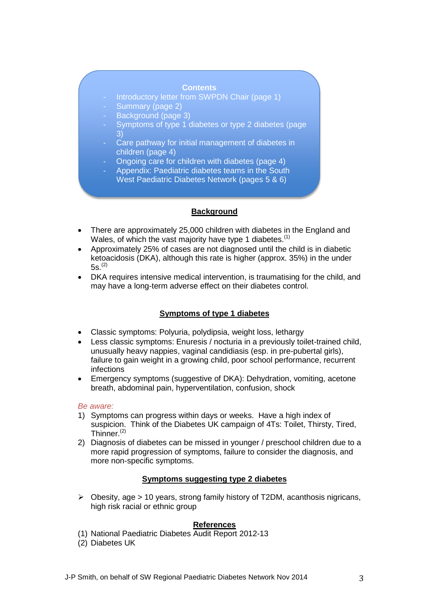#### **Contents**

- Introductory letter from SWPDN Chair (page 1)
- Summary (page 2)
- Background (page 3)
- Symptoms of type 1 diabetes or type 2 diabetes (page 3)
- Care pathway for initial management of diabetes in children (page 4)
- Ongoing care for children with diabetes (page 4)
- Appendix: Paediatric diabetes teams in the South West Paediatric Diabetes Network (pages 5 & 6)

## **Background**

- There are approximately 25,000 children with diabetes in the England and Wales, of which the vast majority have type 1 diabetes.<sup>(1)</sup>
- Approximately 25% of cases are not diagnosed until the child is in diabetic ketoacidosis (DKA), although this rate is higher (approx. 35%) in the under  $5s^{(2)}$
- DKA requires intensive medical intervention, is traumatising for the child, and may have a long-term adverse effect on their diabetes control.

## **Symptoms of type 1 diabetes**

- Classic symptoms: Polyuria, polydipsia, weight loss, lethargy
- Less classic symptoms: Enuresis / nocturia in a previously toilet-trained child, unusually heavy nappies, vaginal candidiasis (esp. in pre-pubertal girls), failure to gain weight in a growing child, poor school performance, recurrent infections
- Emergency symptoms (suggestive of DKA): Dehydration, vomiting, acetone breath, abdominal pain, hyperventilation, confusion, shock

*Be aware:*

- 1) Symptoms can progress within days or weeks. Have a high index of suspicion. Think of the Diabetes UK campaign of 4Ts: Toilet, Thirsty, Tired, Thinner. $(2)$
- 2) Diagnosis of diabetes can be missed in younger / preschool children due to a more rapid progression of symptoms, failure to consider the diagnosis, and more non-specific symptoms.

## **Symptoms suggesting type 2 diabetes**

 $\triangleright$  Obesity, age  $> 10$  years, strong family history of T2DM, acanthosis nigricans, high risk racial or ethnic group

#### **References**

- (1) National Paediatric Diabetes Audit Report 2012-13
- (2) Diabetes UK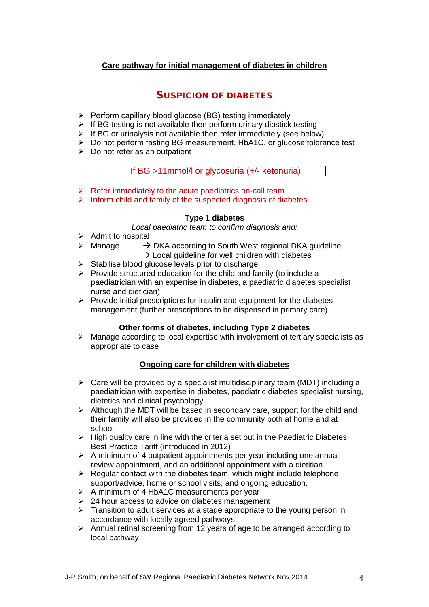# **Care pathway for initial management of diabetes in children**

# SUSPICION OF DIABETES

- $\triangleright$  Perform capillary blood glucose (BG) testing immediately
- $\triangleright$  If BG testing is not available then perform urinary dipstick testing
- $\triangleright$  If BG or urinalysis not available then refer immediately (see below)
- $\triangleright$  Do not perform fasting BG measurement, HbA1C, or glucose tolerance test
- $\triangleright$  Do not refer as an outpatient

If BG >11mmol/l or glycosuria (+/- ketonuria)

- $\triangleright$  Refer immediately to the acute paediatrics on-call team
- $\triangleright$  Inform child and family of the suspected diagnosis of diabetes

# **Type 1 diabetes**

*Local paediatric team to confirm diagnosis and:*

- $\triangleright$  Admit to hospital
- $\triangleright$  Manage  $\rightarrow$  DKA according to South West regional DKA guideline  $\rightarrow$  Local guideline for well children with diabetes
- $\triangleright$  Stabilise blood glucose levels prior to discharge
- $\triangleright$  Provide structured education for the child and family (to include a paediatrician with an expertise in diabetes, a paediatric diabetes specialist nurse and dietician)
- $\triangleright$  Provide initial prescriptions for insulin and equipment for the diabetes management (further prescriptions to be dispensed in primary care)

# **Other forms of diabetes, including Type 2 diabetes**

 $\triangleright$  Manage according to local expertise with involvement of tertiary specialists as appropriate to case

# **Ongoing care for children with diabetes**

- $\triangleright$  Care will be provided by a specialist multidisciplinary team (MDT) including a paediatrician with expertise in diabetes, paediatric diabetes specialist nursing, dietetics and clinical psychology.
- $\triangleright$  Although the MDT will be based in secondary care, support for the child and their family will also be provided in the community both at home and at school.
- $\triangleright$  High quality care in line with the criteria set out in the Paediatric Diabetes Best Practice Tariff (introduced in 2012)
- $\triangleright$  A minimum of 4 outpatient appointments per year including one annual review appointment, and an additional appointment with a dietitian.
- $\triangleright$  Regular contact with the diabetes team, which might include telephone support/advice, home or school visits, and ongoing education.
- $\triangleright$  A minimum of 4 HbA1C measurements per year
- $\geq$  24 hour access to advice on diabetes management
- $\triangleright$  Transition to adult services at a stage appropriate to the young person in accordance with locally agreed pathways
- $\triangleright$  Annual retinal screening from 12 years of age to be arranged according to local pathway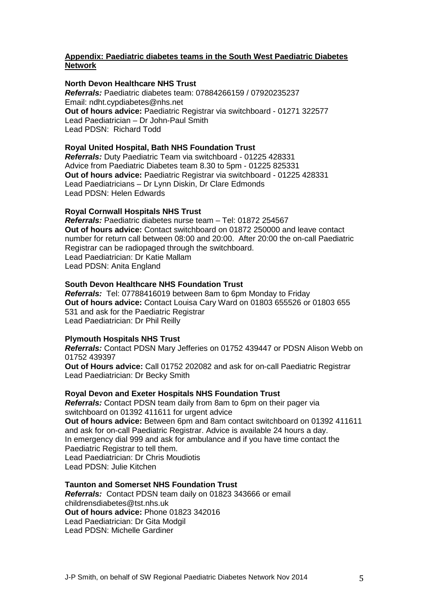## **Appendix: Paediatric diabetes teams in the South West Paediatric Diabetes Network**

#### **North Devon Healthcare NHS Trust**

*Referrals:* Paediatric diabetes team: 07884266159 / 07920235237 Email: [ndht.cypdiabetes@nhs.net](mailto:ndht.cypdiabetes@nhs.net) **Out of hours advice:** Paediatric Registrar via switchboard - 01271 322577 Lead Paediatrician – Dr John-Paul Smith Lead PDSN: Richard Todd

#### **Royal United Hospital, Bath NHS Foundation Trust**

*Referrals:* Duty Paediatric Team via switchboard *-* 01225 428331 Advice from Paediatric Diabetes team 8.30 to 5pm - 01225 825331 **Out of hours advice:** Paediatric Registrar via switchboard - 01225 428331 Lead Paediatricians – Dr Lynn Diskin, Dr Clare Edmonds Lead PDSN: Helen Edwards

#### **Royal Cornwall Hospitals NHS Trust**

*Referrals:* Paediatric diabetes nurse team – Tel: 01872 254567 **Out of hours advice:** Contact switchboard on 01872 250000 and leave contact number for return call between 08:00 and 20:00. After 20:00 the on-call Paediatric Registrar can be radiopaged through the switchboard. Lead Paediatrician: Dr Katie Mallam Lead PDSN: Anita England

#### **South Devon Healthcare NHS Foundation Trust**

*Referrals:* Tel: 07788416019 between 8am to 6pm Monday to Friday **Out of hours advice:** Contact Louisa Cary Ward on 01803 655526 or 01803 655 531 and ask for the Paediatric Registrar Lead Paediatrician: Dr Phil Reilly

#### **Plymouth Hospitals NHS Trust**

*Referrals:* Contact PDSN Mary Jefferies on 01752 439447 or PDSN Alison Webb on 01752 439397

**Out of Hours advice:** Call 01752 202082 and ask for on-call Paediatric Registrar Lead Paediatrician: Dr Becky Smith

#### **Royal Devon and Exeter Hospitals NHS Foundation Trust**

*Referrals:* Contact PDSN team daily from 8am to 6pm on their pager via switchboard on 01392 411611 for urgent advice

**Out of hours advice:** Between 6pm and 8am contact switchboard on 01392 411611 and ask for on-call Paediatric Registrar. Advice is available 24 hours a day. In emergency dial 999 and ask for ambulance and if you have time contact the Paediatric Registrar to tell them. Lead Paediatrician: Dr Chris Moudiotis

Lead PDSN: Julie Kitchen

### **Taunton and Somerset NHS Foundation Trust**

*Referrals:*Contact PDSN team daily on 01823 343666 or email childrensdiabetes@tst.nhs.uk **Out of hours advice:** Phone 01823 342016 Lead Paediatrician: Dr Gita Modgil Lead PDSN: Michelle Gardiner